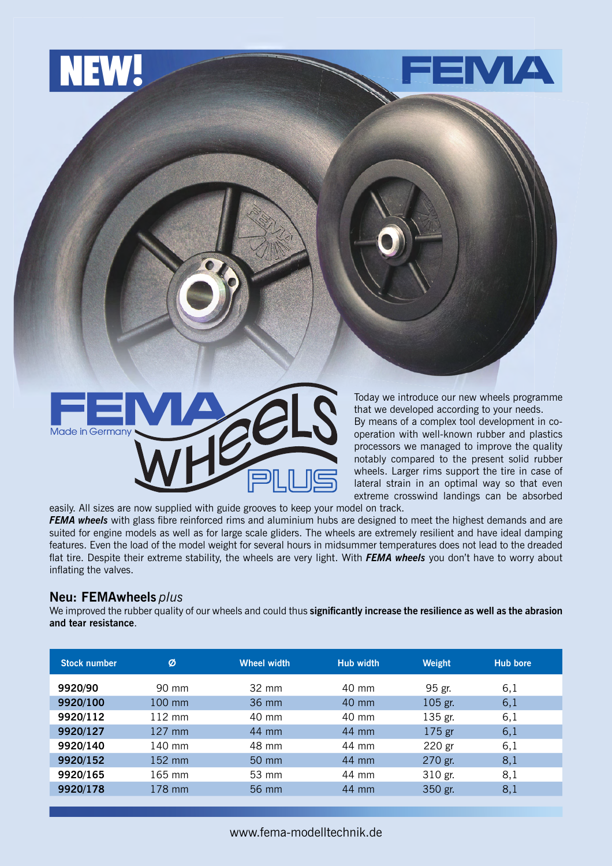



Today we introduce our new wheels programme that we developed according to your needs.

By means of a complex tool development in cooperation with well-known rubber and plastics processors we managed to improve the quality notably compared to the present solid rubber wheels. Larger rims support the tire in case of lateral strain in an optimal way so that even extreme crosswind landings can be absorbed

easily. All sizes are now supplied with guide grooves to keep your model on track. **FEMA wheels** with glass fibre reinforced rims and aluminium hubs are designed to meet the highest demands and are suited for engine models as well as for large scale gliders. The wheels are extremely resilient and have ideal damping features. Even the load of the model weight for several hours in midsummer temperatures does not lead to the dreaded flat tire. Despite their extreme stability, the wheels are very light. With FEMA wheels you don't have to worry about inflating the valves.

## **Neu: FEMAwheels** *plus*

We improved the rubber quality of our wheels and could thus significantly increase the resilience as well as the abrasion **and tear resistance**.

| <b>Stock number</b> | Ø                | <b>Wheel width</b> | <b>Hub width</b> | Weight  | <b>Hub bore</b> |
|---------------------|------------------|--------------------|------------------|---------|-----------------|
| 9920/90             | 90 mm            | $32 \text{ mm}$    | 40 mm            | 95 gr.  | 6,1             |
| 9920/100            | 100 mm           | 36 mm              | 40 mm            | 105 gr. | 6,1             |
| 9920/112            | $112 \text{ mm}$ | 40 mm              | 40 mm            | 135 gr. | 6,1             |
| 9920/127            | $127$ mm         | 44 mm              | 44 mm            | 175 gr  | 6,1             |
| 9920/140            | 140 mm           | 48 mm              | 44 mm            | 220 gr  | 6,1             |
| 9920/152            | 152 mm           | 50 mm              | 44 mm            | 270 gr. | 8,1             |
| 9920/165            | $165$ mm         | 53 mm              | 44 mm            | 310 gr. | 8,1             |
| 9920/178            | 178 mm           | 56 mm              | 44 mm            | 350 gr. | 8,1             |